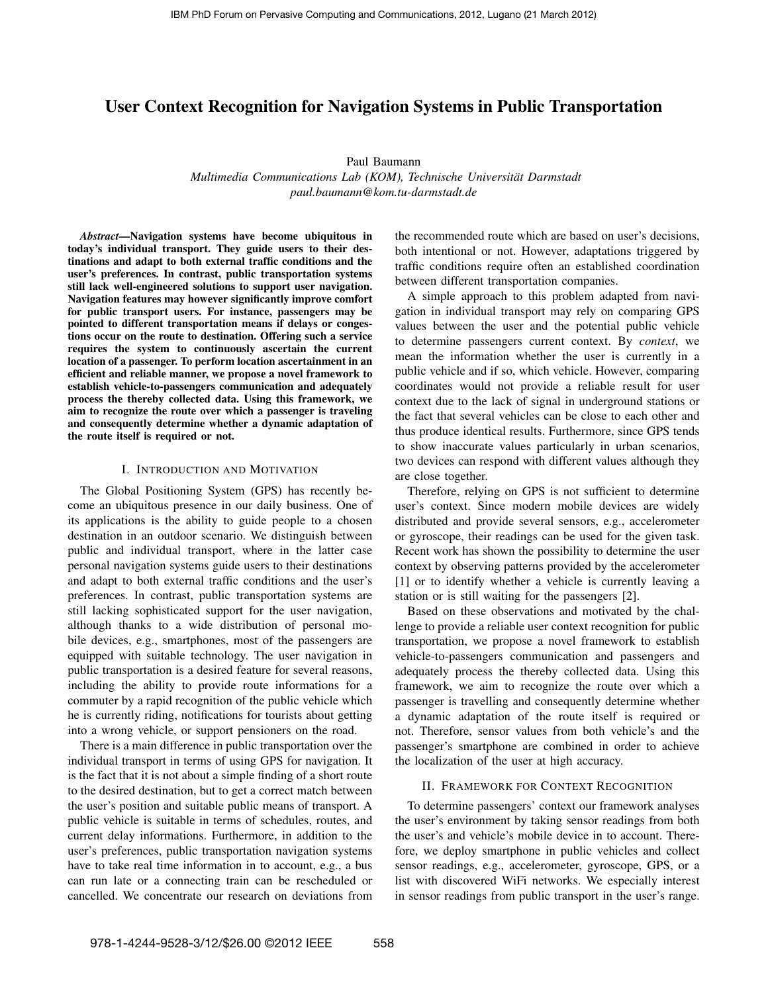# User Context Recognition for Navigation Systems in Public Transportation

Paul Baumann

*Multimedia Communications Lab (KOM), Technische Universitat Darmstadt ¨ paul.baumann@kom.tu-darmstadt.de*

*Abstract*—Navigation systems have become ubiquitous in today's individual transport. They guide users to their destinations and adapt to both external traffic conditions and the user's preferences. In contrast, public transportation systems still lack well-engineered solutions to support user navigation. Navigation features may however significantly improve comfort for public transport users. For instance, passengers may be pointed to different transportation means if delays or congestions occur on the route to destination. Offering such a service requires the system to continuously ascertain the current location of a passenger. To perform location ascertainment in an efficient and reliable manner, we propose a novel framework to establish vehicle-to-passengers communication and adequately process the thereby collected data. Using this framework, we aim to recognize the route over which a passenger is traveling and consequently determine whether a dynamic adaptation of the route itself is required or not.

# I. INTRODUCTION AND MOTIVATION

The Global Positioning System (GPS) has recently become an ubiquitous presence in our daily business. One of its applications is the ability to guide people to a chosen destination in an outdoor scenario. We distinguish between public and individual transport, where in the latter case personal navigation systems guide users to their destinations and adapt to both external traffic conditions and the user's preferences. In contrast, public transportation systems are still lacking sophisticated support for the user navigation, although thanks to a wide distribution of personal mobile devices, e.g., smartphones, most of the passengers are equipped with suitable technology. The user navigation in public transportation is a desired feature for several reasons, including the ability to provide route informations for a commuter by a rapid recognition of the public vehicle which he is currently riding, notifications for tourists about getting into a wrong vehicle, or support pensioners on the road.

There is a main difference in public transportation over the individual transport in terms of using GPS for navigation. It is the fact that it is not about a simple finding of a short route to the desired destination, but to get a correct match between the user's position and suitable public means of transport. A public vehicle is suitable in terms of schedules, routes, and current delay informations. Furthermore, in addition to the user's preferences, public transportation navigation systems have to take real time information in to account, e.g., a bus can run late or a connecting train can be rescheduled or cancelled. We concentrate our research on deviations from the recommended route which are based on user's decisions, both intentional or not. However, adaptations triggered by traffic conditions require often an established coordination between different transportation companies.

A simple approach to this problem adapted from navigation in individual transport may rely on comparing GPS values between the user and the potential public vehicle to determine passengers current context. By *context*, we mean the information whether the user is currently in a public vehicle and if so, which vehicle. However, comparing coordinates would not provide a reliable result for user context due to the lack of signal in underground stations or the fact that several vehicles can be close to each other and thus produce identical results. Furthermore, since GPS tends to show inaccurate values particularly in urban scenarios, two devices can respond with different values although they are close together.

Therefore, relying on GPS is not sufficient to determine user's context. Since modern mobile devices are widely distributed and provide several sensors, e.g., accelerometer or gyroscope, their readings can be used for the given task. Recent work has shown the possibility to determine the user context by observing patterns provided by the accelerometer [1] or to identify whether a vehicle is currently leaving a station or is still waiting for the passengers [2].

Based on these observations and motivated by the challenge to provide a reliable user context recognition for public transportation, we propose a novel framework to establish vehicle-to-passengers communication and passengers and adequately process the thereby collected data. Using this framework, we aim to recognize the route over which a passenger is travelling and consequently determine whether a dynamic adaptation of the route itself is required or not. Therefore, sensor values from both vehicle's and the passenger's smartphone are combined in order to achieve the localization of the user at high accuracy.

# II. FRAMEWORK FOR CONTEXT RECOGNITION

To determine passengers' context our framework analyses the user's environment by taking sensor readings from both the user's and vehicle's mobile device in to account. Therefore, we deploy smartphone in public vehicles and collect sensor readings, e.g., accelerometer, gyroscope, GPS, or a list with discovered WiFi networks. We especially interest in sensor readings from public transport in the user's range.